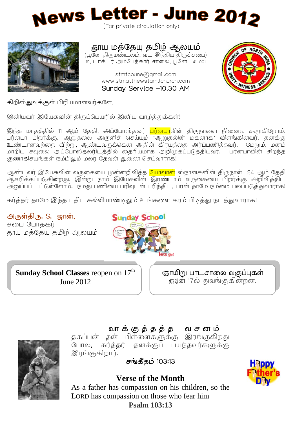



# தூய மத்தேயு தமிழ் ஆலயம்

(பூனே திருமண்டலம், வட இந்திய திருச்சபை) 19, டாக்டர் அம்பேத்கார் சாலை, பூனே – 411 001

> stmtcpune@gmail.com www.stmatthewstamilchurch.com

Sunday Service -10.30 AM



கிறிஸ்துவுக்குள் பிரியமானவர்களே,

இனியவர் இயேசுவின் திருப்பெயரில் இனிய வாழ்த்துக்கள்!

இந்த மாதத்தில் 11 ஆம் தேதி, அப்போஸ்தலர் <mark>பர்னபா</mark>வின் திருநாளை நினைவு கூறுகிறோம். பர்னபா பிறர்க்கு, ஆறுதலை அருளிச் செய்யும் 'ஆறுதலின் மகனாக' விளங்கினவர். தனக்கு .<br>உண்டானவற்றை விற்று, ஆண்டவருக்கென அதின் கிரயத்தை அர்ப்பணித்தவர். மேலும், மனம் மாறிய சவலை அப்போஸ்தலரிடத்தில் தைரியமாக அறிமுகப்படுத்தியவர். பர்னபாவின் சிறந்த குணாதிசயங்கள் நம்மிலும் மலர தேவன் துணை செய்வாராக!

ஆண்டவர் இயேசுவின் வருகையை முன்னறிவித்த <mark>யோவான்</mark> ஸ்நானகனின் திருநாள் 24 ஆம் தேதி .<br>ஆசரிக்கப்படுகின்றது. இன்று நாம் இயேசுவின் <mark>இரண்டா</mark>ம் வருகையை பிறர்க்கு அறிவித்திட அனுப்பப் பட்டுள்ளோம். நமது பணியை பரிவுடன் புரிந்திட, பரன் தாமே நம்மை பலப்படுத்துவாராக!

கர்த்தர் தாமே இந்த புதிய கல்வியாண்டிலும் உங்களை கரம் பிடித்து நடத்துவாராக!

அருள்திரு. S. ஜான், சபை போககர் தூய மத்தேயு தமிழ் ஆலயம்



**Sunday School Classes** reopen on 17<sup>th</sup> June 2012

ஞாயிறு பாடசாலை வகுப்புகள் .<br>ஜ2ன் 17ல் துவங்குகின்றன.

# 

í

# வாக்குத்தத்த வசனம்

த போல, கர்த்தர் தனக்குப் பயந்தவர்களுக்கு இரங்குகிறார்.

சங்கீதம் 103:13



### **Verse of the Month**

As a father has compassion on his children, so the LORD has compassion on those who fear him **Psalm 103:13**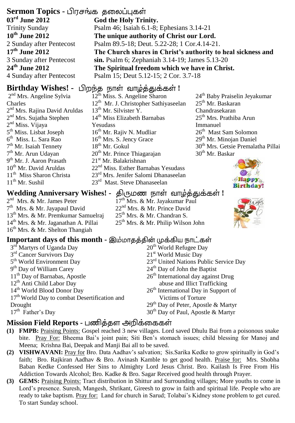## **Sermon Topics -**

**03rd June 2012** Trinity Sunday **10th June 2012**  2 Sunday after Pentecost **17th June 2012** 3 Sunday after Pentecost **24th June 2012** 4 Sunday after Pentecost

## **Birthday Wishes! -** பிறந்த நாள் வாழ்த்துக்கள்!

2<sup>nd</sup> Mrs. Angeline Sylvia Charles 2<sup>nd</sup> Mrs. Rajina David Aruldas 2<sup>nd</sup> Mrs. Sujatha Stephen 2<sup>nd</sup> Miss. Vijaya 5<sup>th</sup> Miss. Lisbat Joseph 6 th Miss. L. Sara Rao 7<sup>th</sup> Mr. Isaiah Tennety 7<sup>th</sup> Mr. Arun Udayan 9<sup>th</sup> Mr. J. Aaron Prasath 10<sup>th</sup> Mr. David Aruldas 11<sup>th</sup> Miss Sharon Christa 11th Mr. Sushil

**God the Holy Trinity.** Psalm 46; Isaiah 6.1-8; Ephesians 3.14-21 **The unique authority of Christ our Lord.** Psalm 89.5-18; Deut. 5.22-28; 1 Cor.4.14-21. **The Church shares in Christ's authority to heal sickness and sin.** Psalm 6; Zephaniah 3.14-19; James 5.13-20 **The Spiritual freedom which we have in Christ.** Psalm 15; Deut 5.12-15; 2 Cor. 3.7-18

### 12th Miss. S. Angeline Sharon 12<sup>th</sup> Mr. J. Christopher Sathiyaseelan  $13^{th}$  Mr. Silvister Y. 14<sup>th</sup> Miss Elizabeth Barnabas Yesudass 16<sup>th</sup> Mr. Rajiv N. Mudliar 16<sup>th</sup> Mrs. S. Jency Grace 18th Mr. Gokul  $20<sup>th</sup>$  Mr. Prince Thiagarajan 21<sup>st</sup> Mr. Balakrishnan 22<sup>nd</sup> Miss. Esther Barnabas Yesudass 23rd Mrs. Jenifer Salomi Dhanaseelan 23rd Mast. Steve Dhanaseelan

24th Baby Praiselin Jeyakumar 25th Mr. Baskaran Chandrasekaran 25<sup>th</sup> Mrs. Prathiba Arun Immanuel 26<sup>th</sup> Mast Sam Solomon 29<sup>th</sup> Mr. Minojan Daniel 30th Mrs. Getsie Premalatha Pillai  $30<sup>th</sup>$  Mr. Baskar



### $\bm{\Theta}$  Wedding Anniversary Wishes! - திருமண நாள் வாழ்த்துக்கள்

- 2<sup>nd</sup> Mrs. & Mr. James Peter 7<sup>th</sup> Mrs. & Mr. Jayapaul David 13th Mrs. & Mr. Premkumar Samuelraj 14th Mrs. & Mr. Jaganathan A. Pillai 16th Mrs. & Mr. Shelton Thangiah
- 17<sup>th</sup> Mrs. & Mr. Jayakumar Paul 22<sup>nd</sup> Mrs. & Mr. Prince David  $25<sup>th</sup>$  Mrs. & Mr. Chandran S. 25th Mrs. & Mr. Philip Wilson John



### **Important days of this month -**

| 3rd Martyrs of Uganda Day                                | 20 <sup>th</sup> World Refugee Day                 |
|----------------------------------------------------------|----------------------------------------------------|
| 3 <sup>rd</sup> Cancer Survivors Day                     | 21 <sup>st</sup> World Music Day                   |
| 5 <sup>th</sup> World Environment Day                    | 23 <sup>rd</sup> United Nations Public Service Day |
| 9 <sup>th</sup> Day of William Carey                     | $24th$ Day of John the Baptist                     |
| 11 <sup>th</sup> Day of Barnabas, Apostle                | $26th$ International day against Drug              |
| 12 <sup>th</sup> Anti Child Labor Day                    | abuse and Illict Trafficking                       |
| 14 <sup>th</sup> World Blood Donor Day                   | $26th$ International Day in Support of             |
| 17 <sup>th</sup> World Day to combat Desertification and | Victims of Torture                                 |
| Drought                                                  | $29th$ Day of Peter, Apostle & Martyr              |
| $17th$ Father's Day                                      | 30 <sup>th</sup> Day of Paul, Apostle & Martyr     |
|                                                          |                                                    |

### **Mission Field Reports -**

- **(1) FMPB:** Praising Points: Gospel reached 3 new villages. Lord saved Dhulu Bai from a poisonous snake bite. Pray For: Bheema Bai's joint pain; Siti Ben's stomach issues; child blessing for Manoj and Meena; Krishna Bai, Deepak and Manji Bai all to be saved.
- **(2) VISHWAVANI:** Pray for Bro. Data Aadhav's salvation; Sis.Sarika Kedke to grow spiritually in God's faith; Bro. Rajkiran Aadhav & Bro. Avinash Kamble to get good health. Praise for: Mrs. Shobha Baban Kedke Confessed Her Sins to Almighty Lord Jesus Christ. Bro. Kailash Is Free From His Addiction Towards Alcohol; Bro. Kadke & Bro. Sagar Received good health through Prayer.
- **(3) GEMS:** Praising Points: Tract distribution in Shittur and Surrounding villages; More youths to come in Lord's presence. Suresh, Mangesh, Shrikant, Gireesh to grow in faith and spiritual life. People who are ready to take baptism. Pray for: Land for church in Sarud; Tolabai's Kidney stone problem to get cured. To start Sunday school.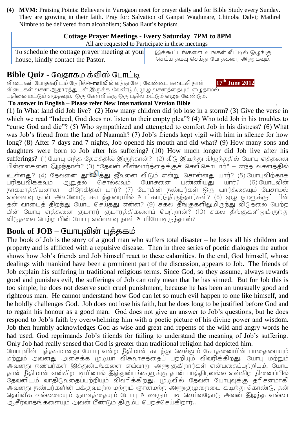**(4) MVM:** Praising Points: Believers in Varogaon meet for prayer daily and for Bible Study every Sunday. They are growing in their faith. Pray for: Salvation of Ganpat Waghmare, Chinoba Dalvi; Mathrel Nimbre to be delivered from alcoholism; Saboo Raut's baptism.

### **Cottage Prayer Meetings - Every Saturday 7PM to 8PM** All are requested to Participate in these meetings

To schedule the cottage prayer meeting at your house, kindly contact the Pastor.

இக்கூட்டங்களை உங்கள் வீட்டில் ஒழுங்கு செய்ய தயவு செய்து போதகரை அணுகவும்.

# **Bible Quiz -**

 /e-mail **17th June 2012** விடைகள் வசன ஆதாரத்துடன் இருக்க வேண்டும். முழு வசனத்தையும் எழுதாமல் பதிலை மட்டும் எழுதவும். ஒரு கேள்விக்கு ஒரு பதில் மட்டும் எழுத வேண்டும்.

**To answer in English – Please refer New International Version Bible** .

(1).In What land did Job live? (2) How many children did job lose in a storm? (3) Give the verse in which we read "Indeed, God does not listen to their empty plea"? (4) Who told Job in his troubles to "curse God and die"? (5) Who sympathized and attempted to comfort Job in his distress? (6).What was Job's friend from the land of Naamah? (7) Job's friends kept vigil with him in silence for how long? (8) After 7 days and 7 nights, Job opened his mouth and did what? (9) How many sons and daughters were born to Job after his suffering? (10) How much longer did Job live after his sufferings? (1) யோபு எந்த தேசத்தில் இருந்தான்? (2) வீடு இடிந்து விழுந்ததில் யோபு எத்தனை பிள்ளைகளை இழந்தான்? (3) "தேவன் வீண்வார்த்தைக்குச் செவிகொடார்" – எந்த வசனத்தில் உள்ளது? (4) தேவனை தூ**ங்<sup>டு</sup>த்**து ஜீவனை விடும் என்று சொன்னது யார்? (5).யோபுவிற்காக<br>பரிதபவிக்கவும் அறுதல் சொல்லவும் யோசனை பண்ணியது யார்? (6).யோபுவின் பரிதபவிக்கவும் ஆறுதல் சொல்லவும் யோசனை பண்ணியது யார்? (6) யோபுவின்<br>நாகமாத்தியனான சிநேகிதன் யார்? (7) யோபின் நண்பர்கள் ஒரு வார்த்தையும் பேசாமல் நாகமாக்கியனான எவ்வளவு நாள் அவனோடு கூடத்தரையில் உட்கார்ந்திருந்தார்கள்? (8) ஏழு நாளுக்குப் பின் தன் வாயைத் திறந்து யோபு செய்தது என்ன? (9) சகல தீங்குகளிலுமிருந்து விடுதலை பெற்ற பின் யோபு எத்தனை குமாரர் குமாரத்திகளைப் பெற்றான்? (10) சகல தீங்குகளிலுமிருந்து விடுதலை பெற்ற பின் யோபு எவ்வளவு நாள் உயிரோடிருந்தான்?

# **Book of JOB –**

The book of Job is the story of a good man who suffers total disaster – he loses all his children and property and is afflicted with a repulsive disease. Then in three series of poetic dialogues the author shows how Job's friends and Job himself react to these calamities. In the end, God himself, whose dealings with mankind have been a prominent part of the discussion, appears to Job. The friends of Job explain his suffering in traditional religious terms. Since God, so they assume, always rewards good and punishes evil, the sufferings of Job can only mean that he has sinned. But for Job this is too simple; he does not deserve such cruel punishment, because he has been an unusually good and righteous man. He cannot understand how God can let so much evil happen to one like himself, and he boldly challenges God. Job does not lose his faith, but he does long to be justified before God and to regain his honour as a good man. God does not give an answer to Job's questions, but he does respond to Job's faith by overwhelming him with a poetic picture of his divine power and wisdom. Job then humbly acknowledges God as wise and great and repents of the wild and angry words he had used. God reprimands Job's friends for failing to understand the meaning of Job's suffering. Only Job had really sensed that God is greater than traditional religion had depicted him.

யோபுவின் புத்தகமானது யோபு என்ற நீதிமான் கடந்து செல்லும் சோதனையின் பாதையையும் மற்றும் அவனது அசைக்க முடியா விசுவாசத்தைப் பற்றியும் விவரிக்கிறது. யோபு மற்றும் அவனது நண்பர்கள் இத்துன்பங்களை எவ்வாறு அணுகுகிறார்கள் என்பதைப்பற்றியும், யோபு தான் நீதிமான் என்கிறபடியினால் இத்துன்பங்களுக்கு தான் பாத்திரனல்ல என்கிற நினைப்பில் தேவனிடம் வாதிடுவதைப்பற்றியும் விவரிக்கிறது. முடிவில் தேவன் யோபுவுக்கு தரிசனமாகி அவனது நண்பர்களின் பக்குவமற்ற மற்றும் ஞானமற்ற அணுகுமுறையை கடிந்து கொண்டு, தன் தெய்வீக வல்லமையும் ஞானக்கையும் யோபு உணரும் படி செய்வகோடு அவன் இழந்த எல்லா ஆசீர்வாதங்களையும் அவன் மீண்டும் திரும்ப பெறச்செய்கிறார்..